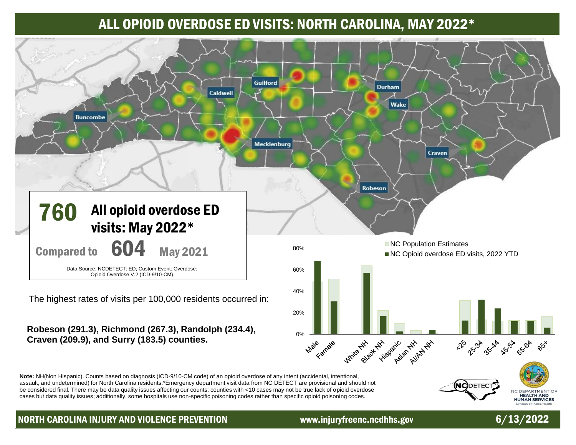# ALL OPIOID OVERDOSE ED VISITS: NORTH CAROLINA, MAY 2022\*



NORTH CAROLINA INJURY AND VIOLENCE PREVENTION www.injuryfreenc.ncdhhs.gov 6/13/2022